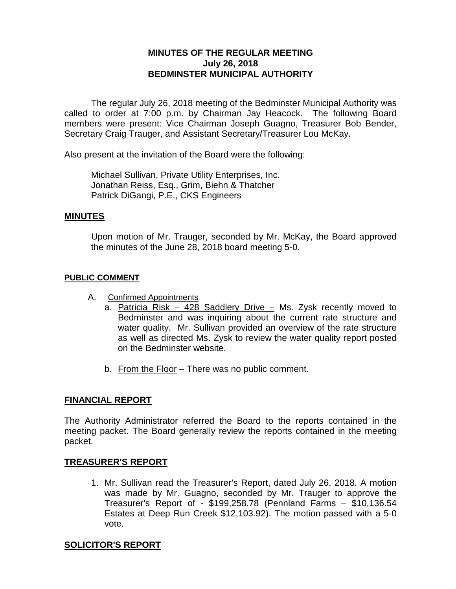## **MINUTES OF THE REGULAR MEETING July 26, 2018 BEDMINSTER MUNICIPAL AUTHORITY**

The regular July 26, 2018 meeting of the Bedminster Municipal Authority was called to order at 7:00 p.m. by Chairman Jay Heacock. The following Board members were present: Vice Chairman Joseph Guagno, Treasurer Bob Bender, Secretary Craig Trauger, and Assistant Secretary/Treasurer Lou McKay.

Also present at the invitation of the Board were the following:

Michael Sullivan, Private Utility Enterprises, Inc. Jonathan Reiss, Esq., Grim, Biehn & Thatcher Patrick DiGangi, P.E., CKS Engineers

#### **MINUTES**

Upon motion of Mr. Trauger, seconded by Mr. McKay, the Board approved the minutes of the June 28, 2018 board meeting 5-0.

#### **PUBLIC COMMENT**

- A. Confirmed Appointments
	- a. Patricia Risk 428 Saddlery Drive Ms. Zysk recently moved to Bedminster and was inquiring about the current rate structure and water quality. Mr. Sullivan provided an overview of the rate structure as well as directed Ms. Zysk to review the water quality report posted on the Bedminster website.
	- b. From the Floor There was no public comment.

### **FINANCIAL REPORT**

The Authority Administrator referred the Board to the reports contained in the meeting packet. The Board generally review the reports contained in the meeting packet.

### **TREASURER'S REPORT**

1. Mr. Sullivan read the Treasurer's Report, dated July 26, 2018. A motion was made by Mr. Guagno, seconded by Mr. Trauger to approve the Treasurer's Report of - \$199,258.78 (Pennland Farms – \$10,136.54 Estates at Deep Run Creek \$12,103.92). The motion passed with a 5-0 vote.

### **SOLICITOR'S REPORT**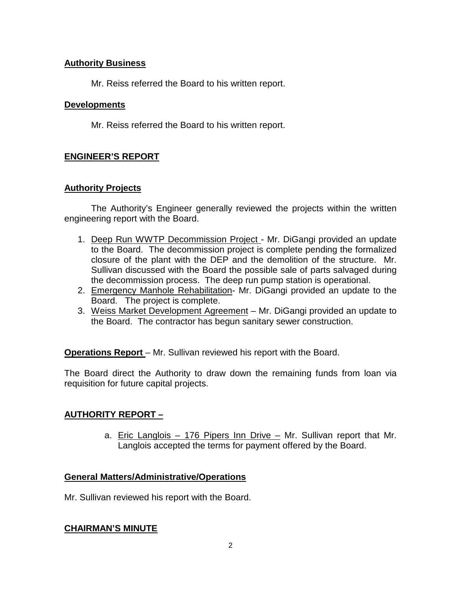## **Authority Business**

Mr. Reiss referred the Board to his written report.

### **Developments**

Mr. Reiss referred the Board to his written report.

# **ENGINEER'S REPORT**

### **Authority Projects**

The Authority's Engineer generally reviewed the projects within the written engineering report with the Board.

- 1. Deep Run WWTP Decommission Project Mr. DiGangi provided an update to the Board. The decommission project is complete pending the formalized closure of the plant with the DEP and the demolition of the structure. Mr. Sullivan discussed with the Board the possible sale of parts salvaged during the decommission process. The deep run pump station is operational.
- 2. Emergency Manhole Rehabilitation- Mr. DiGangi provided an update to the Board. The project is complete.
- 3. Weiss Market Development Agreement Mr. DiGangi provided an update to the Board. The contractor has begun sanitary sewer construction.

**Operations Report** – Mr. Sullivan reviewed his report with the Board.

The Board direct the Authority to draw down the remaining funds from loan via requisition for future capital projects.

# **AUTHORITY REPORT –**

a. Eric Langlois – 176 Pipers Inn Drive – Mr. Sullivan report that Mr. Langlois accepted the terms for payment offered by the Board.

# **General Matters/Administrative/Operations**

Mr. Sullivan reviewed his report with the Board.

### **CHAIRMAN'S MINUTE**